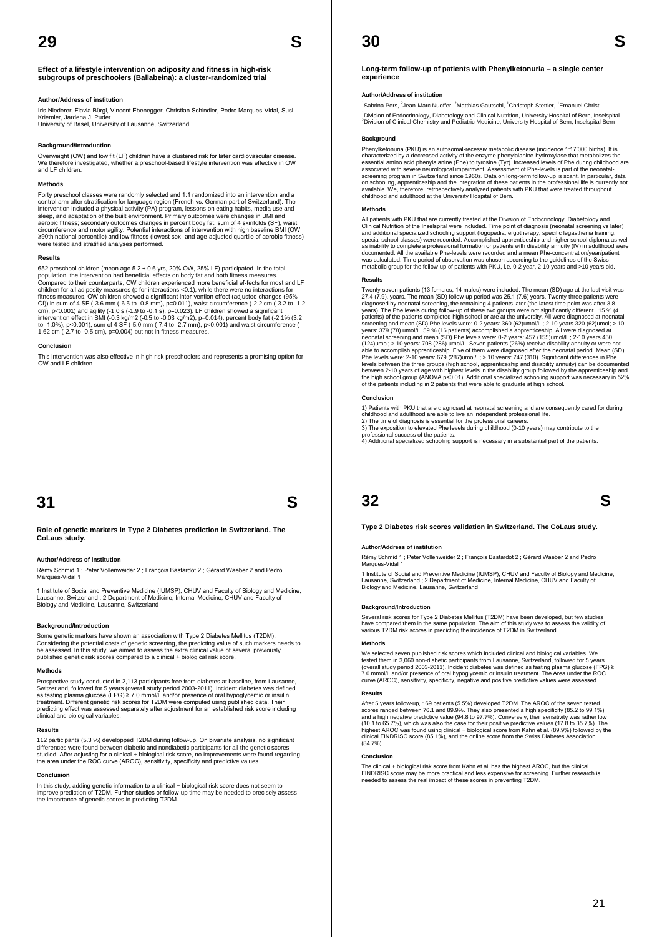**Effect of a lifestyle intervention on adiposity and fitness in high-risk subgroups of preschoolers (Ballabeina): a cluster-randomized trial** 

#### **Author/Address of institution**

Iris Niederer, Flavia Bürgi, Vincent Ebenegger, Christian Schindler, Pedro Marques-Vidal, Susi Kriemler, Jardena J. Puder

University of Basel, University of Lausanne, Switzerland

### **Background/Introduction**

Overweight (OW) and low fit (LF) children have a clustered risk for later cardiovascular disease. We therefore investigated, whether a preschool-based lifestyle intervention was effective in OW and LF children.

#### **Methods**

Forty preschool classes were randomly selected and 1:1 randomized into an intervention and a control arm after stratification for language region (French vs. German part of Switzerland). The<br>intervention included a physical activity (PA) program, lessons on eating habits, media use and<br>sleep, and adaptation of the aerobic fitness; secondary outcomes changes in percent body fat, sum of 4 skinfolds (SF), waist<br>circumference and motor agility. Potential interactions of intervention with high baseline BMI (OW<br>≥90th national percentile)

#### **Results**

652 preschool children (mean age 5.2 ± 0.6 yrs, 20% OW, 25% LF) participated. In the total<br>population, the intervention had beneficial effects on body fat and both fitness measures.<br>Compared to their counterparts, OW child children for all adiposity measures (p for interactions <0.1), while there were no interactions for<br>fitness measures. OW children showed a significant inter-vention effect (adjusted changes (95%<br>CI)) in sum of 4 SF (~3.6 m intervention effect in BMI (-0.3 kg/m2 (-0.5 to -0.03 kg/m2), p=0.014), percent body fat (-2.1% (3.2<br>to -1.0%), p<0.001), sum of 4 SF (-5.0 mm (-7.4 to -2.7 mm), p<0.001) and waist circumference (-<br>1.62 cm (-2.7 to -0.5 c

**Conclusion** 

This intervention was also effective in high risk preschoolers and represents a promising option for OW and LF children.

## **31 S**

**Role of genetic markers in Type 2 Diabetes prediction in Switzerland. The CoLaus study.**

#### **Author/Address of institution**

Rémy Schmid 1 ; Peter Vollenweider 2 ; François Bastardot 2 ; Gérard Waeber 2 and Pedro Marques-Vidal

1 Institute of Social and Preventive Medicine (IUMSP), CHUV and Faculty of Biology and Medicine, Lausanne, Switzerland ; 2 Department of Medicine, Internal Medicine, CHUV and Faculty of Biology and Medicine, Lausanne, Switzerland

#### **Background/Introduction**

Some genetic markers have shown an association with Type 2 Diabetes Mellitus (T2DM).<br>Considering the potential costs of genetic screening, the predicting value of such markers needs to<br>be assessed. In this study, we aimed published genetic risk scores compared to a clinical + biological risk score.

#### **Methods**

Prospective study conducted in 2,113 participants free from diabetes at baseline, from Lausanne, Switzerland, followed for 5 years (overall study period 2003-2011). Incident diabetes was defined<br>as fasting plasma glucose (FPG) ≥ 7.0 mmol/L and/or presence of oral hypoglycemic or insulin<br>treatment. Different genetic ri predicting effect was assessed separately after adjustment for an established risk score including clinical and biological variables.

#### **Results**

112 participants (5.3 %) developped T2DM during follow-up. On bivariate analysis, no significant differences were found between diabetic and nondiabetic participants for all the genetic scores studied. After adjusting for a clinical + biological risk score, no improvements were found regarding the area under the ROC curve (AROC), sensitivity, specificity and predictive values

#### **Conclusion**

In this study, adding genetic information to a clinical + biological risk score does not seem to<br>improve prediction of T2DM. Further studies or follow-up time may be needed to precisely assess<br>the importance of genetic sco

**Long-term follow-up of patients with Phenylketonuria – a single center experience** 

**30 S** 

#### **Author/Address of institution**

<sup>1</sup>Sabrina Pers, <sup>2</sup>Jean-Marc Nuoffer, <sup>2</sup>Matthias Gautschi, <sup>1</sup>Christoph Stettler, <sup>1</sup>Emanuel Christ <sup>1</sup>Division of Endocrinology, Diabetology and Clinical Nutrition, University Hospital of Bern, Inselspital<br><sup>2</sup>Division of Clinical Chemistry and Pediatric Medicine, University Hospital of Bern, Inselspital Bern

#### **Background**

Phenylketonuria (PKU) is an autosomal-recessiv metabolic disease (incidence 1:17'000 births). It is<br>characterized by a decreased activity of the enzyme phenylalarine-hydroxylase that metabolizes the<br>essential amino acid ph

#### **Methods**

All patients with PKU that are currently treated at the Division of Endocrinology, Diabetology and Clinical Nutrition of the Inselspital were included. Time point of diagnosis (neonatal screening vs later)<br>and additional specialized schooling support (logopedia, ergotherapy, specific legasthenia training,<br>special school

#### **Results**

Twenty-seven patients (13 females, 14 males) were included. The mean (SD) age at the last visit was<br>27.4 (7.9), years. The mean (SD) follow-up period was 25.1 (7.6) years. Twenty-three patients were<br>diagnosed by neonatal s patients of the patients completed high school or are at the university. All were diagnosed at neonatal<br>screening and mean (SD) Phe levels were: 0-2 years: 360 (62)umol/L; 2-10 years 320 (62)umol/c) < 10<br>years: 379 (78) um

#### **Conclusion**

1) Patients with PKU that are diagnosed at neonatal screening and are consequently cared for during<br>childhood and adulthood are able to live an independent professional life.<br>2) The time of diagnosis is essential for the p

## **32 S**

**Type 2 Diabetes risk scores validation in Switzerland. The CoLaus study.** 

#### **Author/Address of institution**

Rémy Schmid 1 ; Peter Vollenweider 2 ; François Bastardot 2 ; Gérard Waeber 2 and Pedro Marques-Vidal 1

1 Institute of Social and Preventive Medicine (IUMSP), CHUV and Faculty of Biology and Medicine,<br>Lausanne, Switzerland ; 2 Department of Medicine, Internal Medicine, CHUV and Faculty of<br>Biology and Medicine, Lausanne, Swit

#### **Background/Introduction**

Several risk scores for Type 2 Diabetes Mellitus (T2DM) have been developed, but few studies<br>have compared them in the same population. The aim of this study was to assess the validity of<br>various T2DM risk scores in predic

#### **Methods**

We selected seven published risk scores which included clinical and biological variables. We tested them in 3,060 non-diabetic participants from Lausanne, Switzerland, followed for 5 years<br>(overall study period 2003-2011). Incident diabetes was defined as fasting plasma glucose (FPG) ≥<br>7.0 mmol/L and/or presence

#### **Results**

After 5 years follow-up, 169 patients (5.5%) developed T2DM. The AROC of the seven tested scores ranged between 76.1 and 89.9%. They also presented a high specificity (85.2 to 99.1%)<br>and a high negative predictive value (94.8 to 97.7%). Conversely, their sensitivity was rather low<br>(10.1 to 65.7%), which was als

#### **Conclusion**

The clinical + biological risk score from Kahn et al. has the highest AROC, but the clinical<br>FINDRISC score may be more practical and less expensive for screening. Further research is<br>needed to assess the real impact of th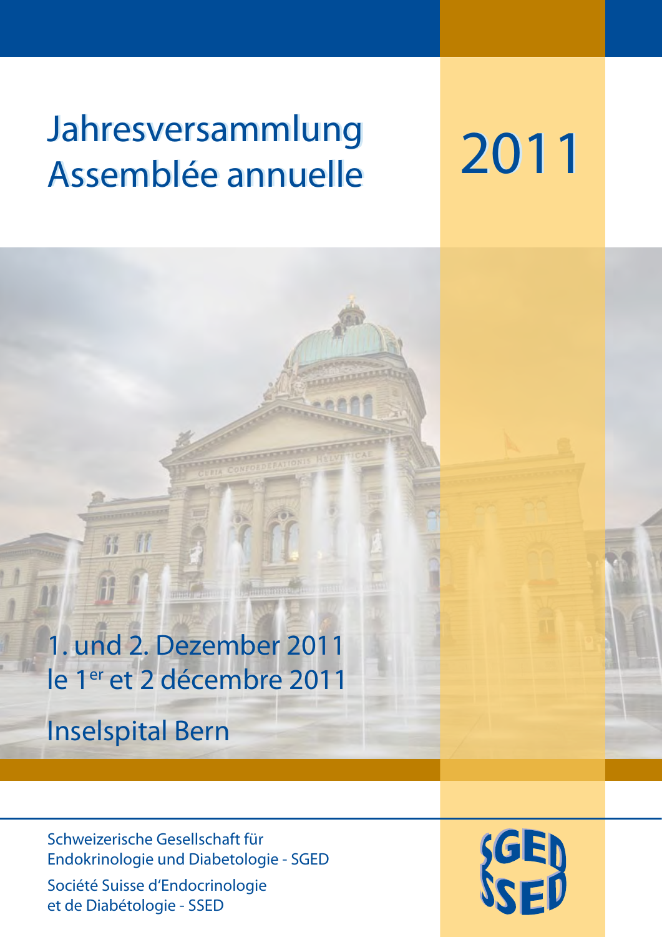# Jahresversammlung Assemblée annuelle

2011

1. und 2. Dezember 2011 le 1<sup>er</sup> et 2 décembre 2011

Inselspital Bern

硚

Schweizerische Gesellschaft für Endokrinologie und Diabetologie - SGED

Société Suisse d'Endocrinologie et de Diabétologie - SSED